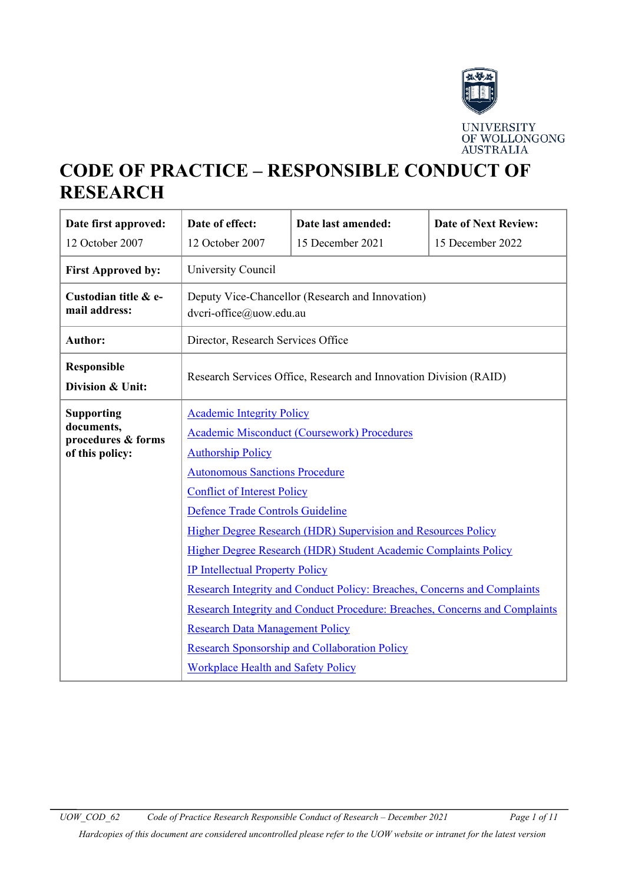

# **CODE OF PRACTICE – RESPONSIBLE CONDUCT OF RESEARCH**

| Date first approved:                                                                              | Date of effect:                                                                                                    | Date last amended: | <b>Date of Next Review:</b> |  |
|---------------------------------------------------------------------------------------------------|--------------------------------------------------------------------------------------------------------------------|--------------------|-----------------------------|--|
| 12 October 2007                                                                                   | 12 October 2007                                                                                                    | 15 December 2021   | 15 December 2022            |  |
| <b>First Approved by:</b>                                                                         | University Council                                                                                                 |                    |                             |  |
| Custodian title & e-<br>mail address:                                                             | Deputy Vice-Chancellor (Research and Innovation)<br>dvcri-office@uow.edu.au                                        |                    |                             |  |
| <b>Author:</b>                                                                                    | Director, Research Services Office                                                                                 |                    |                             |  |
| <b>Responsible</b><br>Division & Unit:                                                            | Research Services Office, Research and Innovation Division (RAID)                                                  |                    |                             |  |
| <b>Supporting</b>                                                                                 | <b>Academic Integrity Policy</b>                                                                                   |                    |                             |  |
| documents,<br>procedures & forms                                                                  | <b>Academic Misconduct (Coursework) Procedures</b>                                                                 |                    |                             |  |
| of this policy:                                                                                   | <b>Authorship Policy</b>                                                                                           |                    |                             |  |
|                                                                                                   | <b>Autonomous Sanctions Procedure</b>                                                                              |                    |                             |  |
|                                                                                                   | <b>Conflict of Interest Policy</b>                                                                                 |                    |                             |  |
| Defence Trade Controls Guideline<br>Higher Degree Research (HDR) Supervision and Resources Policy |                                                                                                                    |                    |                             |  |
|                                                                                                   |                                                                                                                    |                    |                             |  |
|                                                                                                   | Higher Degree Research (HDR) Student Academic Complaints Policy                                                    |                    |                             |  |
|                                                                                                   | <b>IP Intellectual Property Policy</b><br>Research Integrity and Conduct Policy: Breaches, Concerns and Complaints |                    |                             |  |
|                                                                                                   |                                                                                                                    |                    |                             |  |
|                                                                                                   | Research Integrity and Conduct Procedure: Breaches, Concerns and Complaints                                        |                    |                             |  |
|                                                                                                   | <b>Research Data Management Policy</b>                                                                             |                    |                             |  |
| <b>Research Sponsorship and Collaboration Policy</b><br><b>Workplace Health and Safety Policy</b> |                                                                                                                    |                    |                             |  |
|                                                                                                   |                                                                                                                    |                    |                             |  |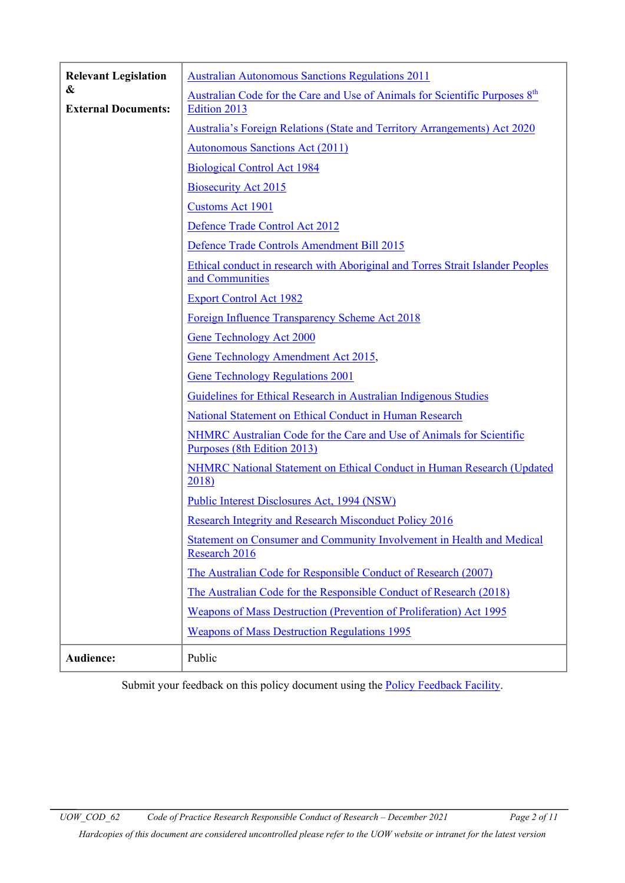| <b>Relevant Legislation</b>                                                                                                            | <b>Australian Autonomous Sanctions Regulations 2011</b>                                                                                  |  |                                                                                 |
|----------------------------------------------------------------------------------------------------------------------------------------|------------------------------------------------------------------------------------------------------------------------------------------|--|---------------------------------------------------------------------------------|
| &                                                                                                                                      | Australian Code for the Care and Use of Animals for Scientific Purposes 8 <sup>th</sup>                                                  |  |                                                                                 |
| <b>External Documents:</b>                                                                                                             | Edition 2013                                                                                                                             |  |                                                                                 |
|                                                                                                                                        | Australia's Foreign Relations (State and Territory Arrangements) Act 2020                                                                |  |                                                                                 |
|                                                                                                                                        | <b>Autonomous Sanctions Act (2011)</b>                                                                                                   |  |                                                                                 |
|                                                                                                                                        | <b>Biological Control Act 1984</b>                                                                                                       |  |                                                                                 |
|                                                                                                                                        | <b>Biosecurity Act 2015</b>                                                                                                              |  |                                                                                 |
|                                                                                                                                        | <b>Customs Act 1901</b>                                                                                                                  |  |                                                                                 |
|                                                                                                                                        | Defence Trade Control Act 2012                                                                                                           |  |                                                                                 |
|                                                                                                                                        | Defence Trade Controls Amendment Bill 2015                                                                                               |  |                                                                                 |
|                                                                                                                                        | Ethical conduct in research with Aboriginal and Torres Strait Islander Peoples<br>and Communities                                        |  |                                                                                 |
|                                                                                                                                        | <b>Export Control Act 1982</b>                                                                                                           |  |                                                                                 |
|                                                                                                                                        | Foreign Influence Transparency Scheme Act 2018                                                                                           |  |                                                                                 |
|                                                                                                                                        | <b>Gene Technology Act 2000</b>                                                                                                          |  |                                                                                 |
|                                                                                                                                        | Gene Technology Amendment Act 2015,                                                                                                      |  |                                                                                 |
|                                                                                                                                        | <b>Gene Technology Regulations 2001</b>                                                                                                  |  |                                                                                 |
|                                                                                                                                        | Guidelines for Ethical Research in Australian Indigenous Studies                                                                         |  |                                                                                 |
|                                                                                                                                        | National Statement on Ethical Conduct in Human Research                                                                                  |  |                                                                                 |
|                                                                                                                                        | NHMRC Australian Code for the Care and Use of Animals for Scientific<br>Purposes (8th Edition 2013)                                      |  |                                                                                 |
|                                                                                                                                        | NHMRC National Statement on Ethical Conduct in Human Research (Updated<br>2018)                                                          |  |                                                                                 |
|                                                                                                                                        | Public Interest Disclosures Act, 1994 (NSW)                                                                                              |  |                                                                                 |
| <b>Research Integrity and Research Misconduct Policy 2016</b><br>Statement on Consumer and Community Involvement in Health and Medical |                                                                                                                                          |  |                                                                                 |
|                                                                                                                                        |                                                                                                                                          |  | Research 2016<br>The Australian Code for Responsible Conduct of Research (2007) |
|                                                                                                                                        |                                                                                                                                          |  |                                                                                 |
|                                                                                                                                        | The Australian Code for the Responsible Conduct of Research (2018)<br>Weapons of Mass Destruction (Prevention of Proliferation) Act 1995 |  |                                                                                 |
|                                                                                                                                        |                                                                                                                                          |  |                                                                                 |
|                                                                                                                                        | <b>Weapons of Mass Destruction Regulations 1995</b>                                                                                      |  |                                                                                 |
| Audience:                                                                                                                              | Public                                                                                                                                   |  |                                                                                 |

Submit your feedback on this policy document using the **Policy Feedback Facility**.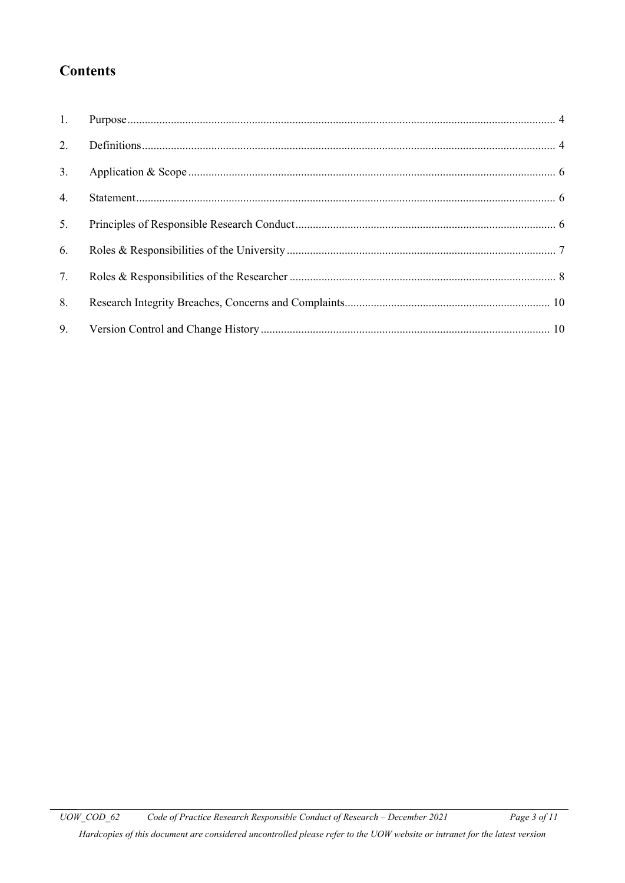## **Contents**

| 2. |  |
|----|--|
| 3. |  |
| 4. |  |
| 5. |  |
| 6. |  |
| 7. |  |
| 8. |  |
| 9. |  |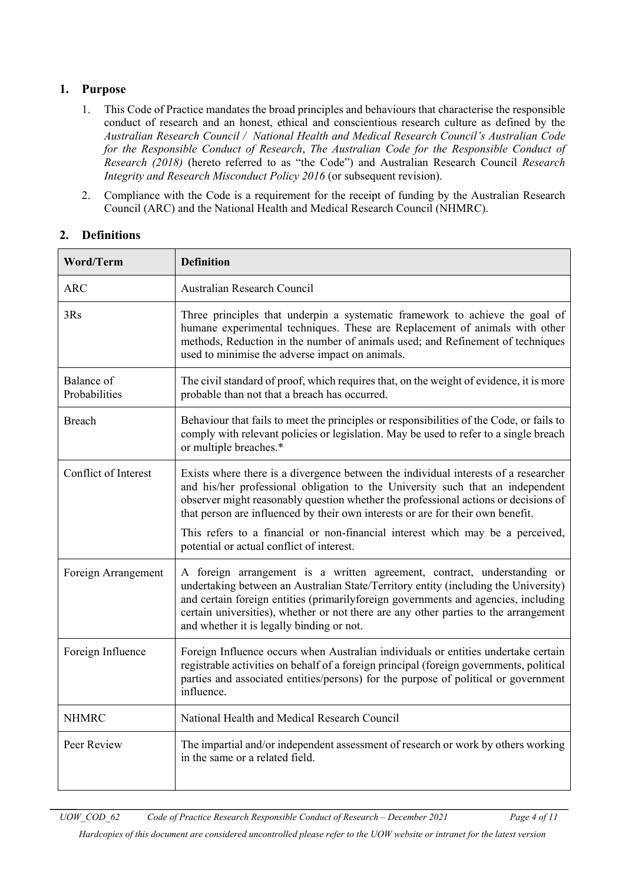## <span id="page-3-0"></span>**1. Purpose**

- 1. This Code of Practice mandates the broad principles and behaviours that characterise the responsible conduct of research and an honest, ethical and conscientious research culture as defined by the *Australian Research Council / National Health and Medical Research Council's Australian Code for the Responsible Conduct of Research*, *[The Australian Code for the Responsible Conduct of](mailto:https://nhmrc.gov.au/sites/default/files/documents/attachments/grant%20documents/The-australian-code-for-the-responsible-conduct-of-research-2018.pdf)  [Research \(2018\)](mailto:https://nhmrc.gov.au/sites/default/files/documents/attachments/grant%20documents/The-australian-code-for-the-responsible-conduct-of-research-2018.pdf)* (hereto referred to as "the Code") and Australian Research Council *[Research](http://www.arc.gov.au/arc-research-integrity-and-research-misconduct-policy)  [Integrity and Research Misconduct Policy 2016](http://www.arc.gov.au/arc-research-integrity-and-research-misconduct-policy)* (or subsequent revision).
- 2. Compliance with the Code is a requirement for the receipt of funding by the Australian Research Council (ARC) and the National Health and Medical Research Council (NHMRC).

## <span id="page-3-1"></span>**2. Definitions**

| <b>Word/Term</b>            | <b>Definition</b>                                                                                                                                                                                                                                                                                                                                                                          |
|-----------------------------|--------------------------------------------------------------------------------------------------------------------------------------------------------------------------------------------------------------------------------------------------------------------------------------------------------------------------------------------------------------------------------------------|
| ARC                         | Australian Research Council                                                                                                                                                                                                                                                                                                                                                                |
| 3Rs                         | Three principles that underpin a systematic framework to achieve the goal of<br>humane experimental techniques. These are Replacement of animals with other<br>methods, Reduction in the number of animals used; and Refinement of techniques<br>used to minimise the adverse impact on animals.                                                                                           |
| Balance of<br>Probabilities | The civil standard of proof, which requires that, on the weight of evidence, it is more<br>probable than not that a breach has occurred.                                                                                                                                                                                                                                                   |
| <b>Breach</b>               | Behaviour that fails to meet the principles or responsibilities of the Code, or fails to<br>comply with relevant policies or legislation. May be used to refer to a single breach<br>or multiple breaches.*                                                                                                                                                                                |
| Conflict of Interest        | Exists where there is a divergence between the individual interests of a researcher<br>and his/her professional obligation to the University such that an independent<br>observer might reasonably question whether the professional actions or decisions of<br>that person are influenced by their own interests or are for their own benefit.                                            |
|                             | This refers to a financial or non-financial interest which may be a perceived,<br>potential or actual conflict of interest.                                                                                                                                                                                                                                                                |
| Foreign Arrangement         | A foreign arrangement is a written agreement, contract, understanding or<br>undertaking between an Australian State/Territory entity (including the University)<br>and certain foreign entities (primarilyforeign governments and agencies, including<br>certain universities), whether or not there are any other parties to the arrangement<br>and whether it is legally binding or not. |
| Foreign Influence           | Foreign Influence occurs when Australian individuals or entities undertake certain<br>registrable activities on behalf of a foreign principal (foreign governments, political<br>parties and associated entities/persons) for the purpose of political or government<br>influence.                                                                                                         |
| <b>NHMRC</b>                | National Health and Medical Research Council                                                                                                                                                                                                                                                                                                                                               |
| Peer Review                 | The impartial and/or independent assessment of research or work by others working<br>in the same or a related field.                                                                                                                                                                                                                                                                       |

*Hardcopies of this document are considered uncontrolled please refer to the UOW website or intranet for the latest version*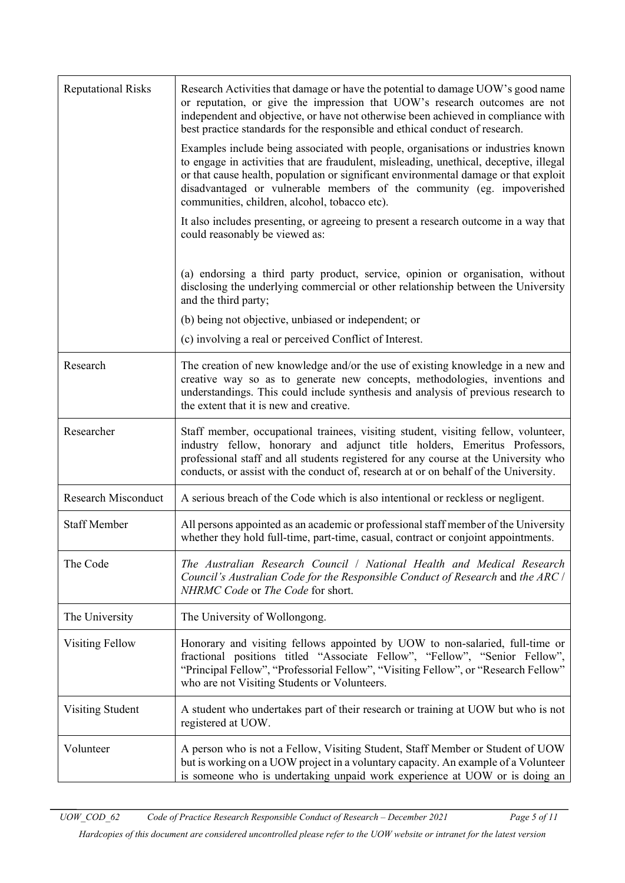| <b>Reputational Risks</b>  | Research Activities that damage or have the potential to damage UOW's good name<br>or reputation, or give the impression that UOW's research outcomes are not<br>independent and objective, or have not otherwise been achieved in compliance with<br>best practice standards for the responsible and ethical conduct of research.                                                            |
|----------------------------|-----------------------------------------------------------------------------------------------------------------------------------------------------------------------------------------------------------------------------------------------------------------------------------------------------------------------------------------------------------------------------------------------|
|                            | Examples include being associated with people, organisations or industries known<br>to engage in activities that are fraudulent, misleading, unethical, deceptive, illegal<br>or that cause health, population or significant environmental damage or that exploit<br>disadvantaged or vulnerable members of the community (eg. impoverished<br>communities, children, alcohol, tobacco etc). |
|                            | It also includes presenting, or agreeing to present a research outcome in a way that<br>could reasonably be viewed as:                                                                                                                                                                                                                                                                        |
|                            | (a) endorsing a third party product, service, opinion or organisation, without<br>disclosing the underlying commercial or other relationship between the University<br>and the third party;                                                                                                                                                                                                   |
|                            | (b) being not objective, unbiased or independent; or                                                                                                                                                                                                                                                                                                                                          |
|                            | (c) involving a real or perceived Conflict of Interest.                                                                                                                                                                                                                                                                                                                                       |
| Research                   | The creation of new knowledge and/or the use of existing knowledge in a new and<br>creative way so as to generate new concepts, methodologies, inventions and<br>understandings. This could include synthesis and analysis of previous research to<br>the extent that it is new and creative.                                                                                                 |
| Researcher                 | Staff member, occupational trainees, visiting student, visiting fellow, volunteer,<br>industry fellow, honorary and adjunct title holders, Emeritus Professors,<br>professional staff and all students registered for any course at the University who<br>conducts, or assist with the conduct of, research at or on behalf of the University.                                                |
| <b>Research Misconduct</b> | A serious breach of the Code which is also intentional or reckless or negligent.                                                                                                                                                                                                                                                                                                              |
| <b>Staff Member</b>        | All persons appointed as an academic or professional staff member of the University<br>whether they hold full-time, part-time, casual, contract or conjoint appointments.                                                                                                                                                                                                                     |
| The Code                   | The Australian Research Council / National Health and Medical Research<br>Council's Australian Code for the Responsible Conduct of Research and the ARC /<br>NHRMC Code or The Code for short.                                                                                                                                                                                                |
| The University             | The University of Wollongong.                                                                                                                                                                                                                                                                                                                                                                 |
| <b>Visiting Fellow</b>     | Honorary and visiting fellows appointed by UOW to non-salaried, full-time or<br>fractional positions titled "Associate Fellow", "Fellow", "Senior Fellow",<br>"Principal Fellow", "Professorial Fellow", "Visiting Fellow", or "Research Fellow"<br>who are not Visiting Students or Volunteers.                                                                                              |
| Visiting Student           | A student who undertakes part of their research or training at UOW but who is not<br>registered at UOW.                                                                                                                                                                                                                                                                                       |
| Volunteer                  | A person who is not a Fellow, Visiting Student, Staff Member or Student of UOW<br>but is working on a UOW project in a voluntary capacity. An example of a Volunteer<br>is someone who is undertaking unpaid work experience at UOW or is doing an                                                                                                                                            |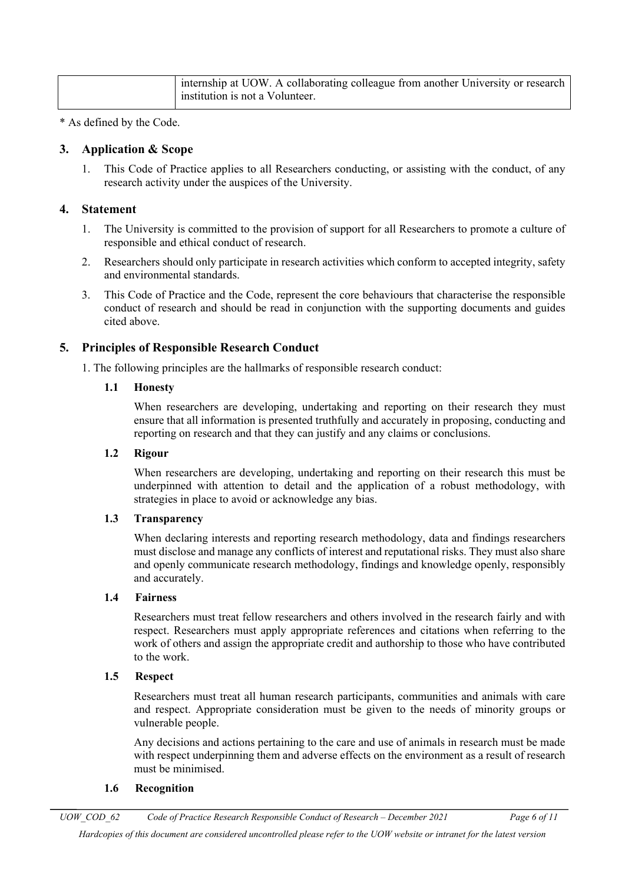| internship at UOW. A collaborating colleague from another University or research  <br>institution is not a Volunteer. |
|-----------------------------------------------------------------------------------------------------------------------|
|                                                                                                                       |

\* As defined by the Code.

#### <span id="page-5-0"></span>**3. Application & Scope**

1. This Code of Practice applies to all Researchers conducting, or assisting with the conduct, of any research activity under the auspices of the University.

#### <span id="page-5-1"></span>**4. Statement**

- 1. The University is committed to the provision of support for all Researchers to promote a culture of responsible and ethical conduct of research.
- 2. Researchers should only participate in research activities which conform to accepted integrity, safety and environmental standards.
- 3. This Code of Practice and the Code, represent the core behaviours that characterise the responsible conduct of research and should be read in conjunction with the supporting documents and guides cited above.

## <span id="page-5-2"></span>**5. Principles of Responsible Research Conduct**

1. The following principles are the hallmarks of responsible research conduct:

#### **1.1 Honesty**

When researchers are developing, undertaking and reporting on their research they must ensure that all information is presented truthfully and accurately in proposing, conducting and reporting on research and that they can justify and any claims or conclusions.

#### **1.2 Rigour**

When researchers are developing, undertaking and reporting on their research this must be underpinned with attention to detail and the application of a robust methodology, with strategies in place to avoid or acknowledge any bias.

#### **1.3 Transparency**

When declaring interests and reporting research methodology, data and findings researchers must disclose and manage any conflicts of interest and reputational risks. They must also share and openly communicate research methodology, findings and knowledge openly, responsibly and accurately.

#### **1.4 Fairness**

Researchers must treat fellow researchers and others involved in the research fairly and with respect. Researchers must apply appropriate references and citations when referring to the work of others and assign the appropriate credit and authorship to those who have contributed to the work.

#### **1.5 Respect**

Researchers must treat all human research participants, communities and animals with care and respect. Appropriate consideration must be given to the needs of minority groups or vulnerable people.

Any decisions and actions pertaining to the care and use of animals in research must be made with respect underpinning them and adverse effects on the environment as a result of research must be minimised.

#### **1.6 Recognition**

*UOW\_COD\_62 Code of Practice Research Responsible Conduct of Research – December 2021 Page 6 of 11*

*Hardcopies of this document are considered uncontrolled please refer to the UOW website or intranet for the latest version*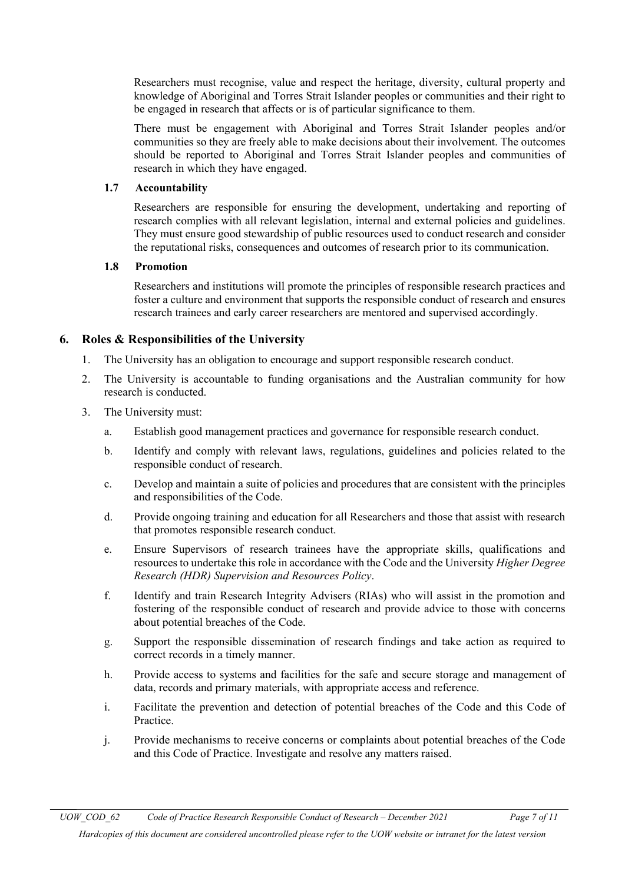Researchers must recognise, value and respect the heritage, diversity, cultural property and knowledge of Aboriginal and Torres Strait Islander peoples or communities and their right to be engaged in research that affects or is of particular significance to them.

There must be engagement with Aboriginal and Torres Strait Islander peoples and/or communities so they are freely able to make decisions about their involvement. The outcomes should be reported to Aboriginal and Torres Strait Islander peoples and communities of research in which they have engaged.

#### **1.7 Accountability**

Researchers are responsible for ensuring the development, undertaking and reporting of research complies with all relevant legislation, internal and external policies and guidelines. They must ensure good stewardship of public resources used to conduct research and consider the reputational risks, consequences and outcomes of research prior to its communication.

#### **1.8 Promotion**

Researchers and institutions will promote the principles of responsible research practices and foster a culture and environment that supports the responsible conduct of research and ensures research trainees and early career researchers are mentored and supervised accordingly.

## <span id="page-6-0"></span>**6. Roles & Responsibilities of the University**

- 1. The University has an obligation to encourage and support responsible research conduct.
- 2. The University is accountable to funding organisations and the Australian community for how research is conducted.
- 3. The University must:
	- a. Establish good management practices and governance for responsible research conduct.
	- b. Identify and comply with relevant laws, regulations, guidelines and policies related to the responsible conduct of research.
	- c. Develop and maintain a suite of policies and procedures that are consistent with the principles and responsibilities of the Code.
	- d. Provide ongoing training and education for all Researchers and those that assist with research that promotes responsible research conduct.
	- e. Ensure Supervisors of research trainees have the appropriate skills, qualifications and resources to undertake this role in accordance with the Code and the University *[Higher Degree](https://www.uow.edu.au/about/policy/UOW058665.html)  [Research \(HDR\) Supervision and Resources Policy](https://www.uow.edu.au/about/policy/UOW058665.html)*.
	- f. Identify and train Research Integrity Advisers (RIAs) who will assist in the promotion and fostering of the responsible conduct of research and provide advice to those with concerns about potential breaches of the Code.
	- g. Support the responsible dissemination of research findings and take action as required to correct records in a timely manner.
	- h. Provide access to systems and facilities for the safe and secure storage and management of data, records and primary materials, with appropriate access and reference.
	- i. Facilitate the prevention and detection of potential breaches of the Code and this Code of Practice.
	- j. Provide mechanisms to receive concerns or complaints about potential breaches of the Code and this Code of Practice. Investigate and resolve any matters raised.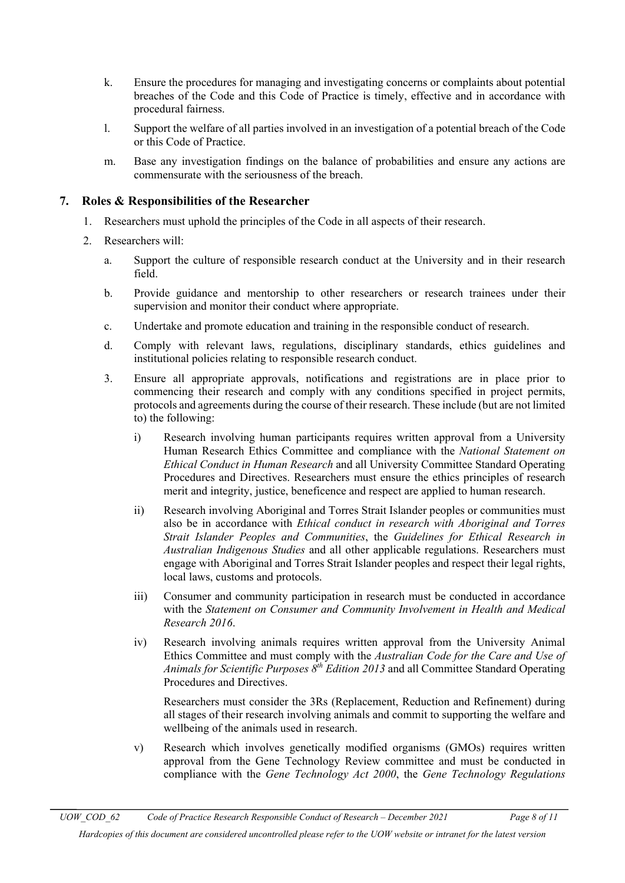- k. Ensure the procedures for managing and investigating concerns or complaints about potential breaches of the Code and this Code of Practice is timely, effective and in accordance with procedural fairness.
- l. Support the welfare of all parties involved in an investigation of a potential breach of the Code or this Code of Practice.
- m. Base any investigation findings on the balance of probabilities and ensure any actions are commensurate with the seriousness of the breach.

## <span id="page-7-0"></span>**7. Roles & Responsibilities of the Researcher**

- 1. Researchers must uphold the principles of the Code in all aspects of their research.
- 2. Researchers will:
	- a. Support the culture of responsible research conduct at the University and in their research field.
	- b. Provide guidance and mentorship to other researchers or research trainees under their supervision and monitor their conduct where appropriate.
	- c. Undertake and promote education and training in the responsible conduct of research.
	- d. Comply with relevant laws, regulations, disciplinary standards, ethics guidelines and institutional policies relating to responsible research conduct.
	- 3. Ensure all appropriate approvals, notifications and registrations are in place prior to commencing their research and comply with any conditions specified in project permits, protocols and agreements during the course of their research. These include (but are not limited to) the following:
		- i) Research involving human participants requires written approval from a University Human Research Ethics Committee and compliance with the *[National Statement on](https://nhmrc.gov.au/about-us/publications/national-statement-ethical-conduct-human-research-2007-updated-2018#block-views-block-file-attachments-content-block-1)  [Ethical Conduct in Human Research](https://nhmrc.gov.au/about-us/publications/national-statement-ethical-conduct-human-research-2007-updated-2018#block-views-block-file-attachments-content-block-1)* and all University Committee Standard Operating Procedures and Directives. Researchers must ensure the ethics principles of research merit and integrity, justice, beneficence and respect are applied to human research.
		- ii) Research involving Aboriginal and Torres Strait Islander peoples or communities must also be in accordance with *[Ethical conduct in research with Aboriginal and Torres](https://nhmrc.gov.au/about-us/publications/ethical-conduct-research-aboriginal-and-torres-strait-islander-peoples-and-communities)  [Strait Islander Peoples and Communities](https://nhmrc.gov.au/about-us/publications/ethical-conduct-research-aboriginal-and-torres-strait-islander-peoples-and-communities)*, the *[Guidelines for Ethical Research in](http://aiatsis.gov.au/research/ethical-research/guidelines-ethical-research-australian-indigenous-studies)  [Australian Indigenous Studies](http://aiatsis.gov.au/research/ethical-research/guidelines-ethical-research-australian-indigenous-studies)* and all other applicable regulations. Researchers must engage with Aboriginal and Torres Strait Islander peoples and respect their legal rights, local laws, customs and protocols.
		- iii) Consumer and community participation in research must be conducted in accordance with the *[Statement on Consumer and Community Involvement in Health and Medical](https://www.nhmrc.gov.au/guidelines-publications/s01)  [Research 2016](https://www.nhmrc.gov.au/guidelines-publications/s01)*.
		- iv) Research involving animals requires written approval from the University Animal Ethics Committee and must comply with the *[Australian Code for the Care and Use of](https://www.nhmrc.gov.au/guidelines-publications/ea28)  [Animals for Scientific Purposes 8](https://www.nhmrc.gov.au/guidelines-publications/ea28)th Edition 2013* and all Committee Standard Operating Procedures and Directives.

Researchers must consider the 3Rs (Replacement, Reduction and Refinement) during all stages of their research involving animals and commit to supporting the welfare and wellbeing of the animals used in research.

v) Research which involves genetically modified organisms (GMOs) requires written approval from the Gene Technology Review committee and must be conducted in compliance with the *[Gene Technology Act 2000](https://www.legislation.gov.au/Details/C2016C00792)*, the *[Gene Technology Regulations](https://www.legislation.gov.au/Details/F2016C00615)*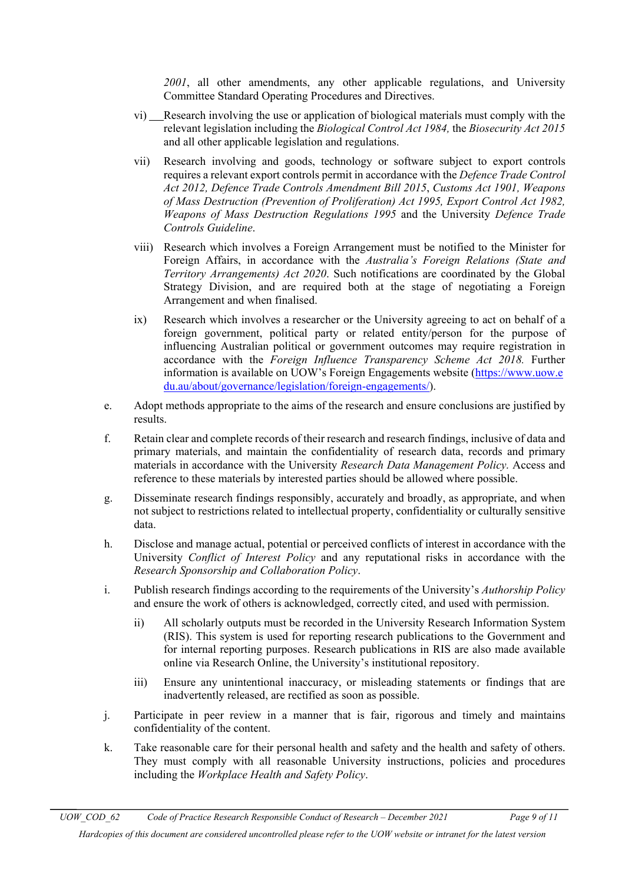*[2001](https://www.legislation.gov.au/Details/F2016C00615)*, all other amendments, any other applicable regulations, and University Committee Standard Operating Procedures and Directives.

- vi) Research involving the use or application of biological materials must comply with the relevant legislation including the *[Biological Control Act 1984,](http://www.austlii.edu.au/au/legis/cth/consol_act/bca1984186/)* the *[Biosecurity Act 2015](http://www.agriculture.gov.au/biosecurity/legislation/new-biosecurity-legislation/bio-legislation)* and all other applicable legislation and regulations.
- vii) Research involving and goods, technology or software subject to export controls requires a relevant export controls permit in accordance with the *[Defence Trade Control](https://www.legislation.gov.au/Details/C2012A00153)  [Act 2012,](https://www.legislation.gov.au/Details/C2012A00153) [Defence Trade Controls Amendment Bill 2015](http://www.aph.gov.au/Parliamentary_Business/Bills_Legislation/Bills_Search_Results/Result?bId=r5407)*, *[Customs Act 1901,](https://www.legislation.gov.au/Series/C1901A00006) [Weapons](https://www.legislation.gov.au/Details/C2010C00112)  [of Mass Destruction \(Prevention of Proliferation\) Act 1995,](https://www.legislation.gov.au/Details/C2010C00112) [Export Control Act 1982,](https://www.legislation.gov.au/Details/C2012C00259) [Weapons of Mass Destruction Regulations 1995](https://www.legislation.gov.au/Details/F2005C00636)* and the University *Defence Trade Controls Guideline*.
- viii) Research which involves a Foreign Arrangement must be notified to the Minister for Foreign Affairs, in accordance with the *Australia's Foreign Relations (State and Territory Arrangements) Act 2020*. Such notifications are coordinated by the Global Strategy Division, and are required both at the stage of negotiating a Foreign Arrangement and when finalised.
- ix) Research which involves a researcher or the University agreeing to act on behalf of a foreign government, political party or related entity/person for the purpose of influencing Australian political or government outcomes may require registration in accordance with the *Foreign Influence Transparency Scheme Act 2018.* Further information is available on UOW's Foreign Engagements website [\(https://www.uow.e](https://www.uow.edu.au/about/governance/legislation/foreign-engagements/) [du.au/about/governance/legislation/foreign-engagements/\)](https://www.uow.edu.au/about/governance/legislation/foreign-engagements/).
- e. Adopt methods appropriate to the aims of the research and ensure conclusions are justified by results.
- f. Retain clear and complete records of their research and research findings, inclusive of data and primary materials, and maintain the confidentiality of research data, records and primary materials in accordance with the University *[Research Data Management Policy](http://www.uow.edu.au/about/policy/UOW116802.html).* Access and reference to these materials by interested parties should be allowed where possible.
- g. Disseminate research findings responsibly, accurately and broadly, as appropriate, and when not subject to restrictions related to intellectual property, confidentiality or culturally sensitive data.
- h. Disclose and manage actual, potential or perceived conflicts of interest in accordance with the University *[Conflict of Interest Policy](http://www.uow.edu.au/about/policy/UOW058674.html)* and any reputational risks in accordance with the *Research Sponsorship and Collaboration Policy*.
- i. Publish research findings according to the requirements of the University's *[Authorship Policy](http://www.uow.edu.au/about/policy/UOW058654.html)* and ensure the work of others is acknowledged, correctly cited, and used with permission.
	- ii) All scholarly outputs must be recorded in the University Research Information System (RIS). This system is used for reporting research publications to the Government and for internal reporting purposes. Research publications in RIS are also made available online via Research Online, the University's institutional repository.
	- iii) Ensure any unintentional inaccuracy, or misleading statements or findings that are inadvertently released, are rectified as soon as possible.
- j. Participate in peer review in a manner that is fair, rigorous and timely and maintains confidentiality of the content.
- k. Take reasonable care for their personal health and safety and the health and safety of others. They must comply with all reasonable University instructions, policies and procedures including the *[Workplace Health and Safety Policy](http://staff.uow.edu.au/ohs/commitment/ohspolicy/index.html)*.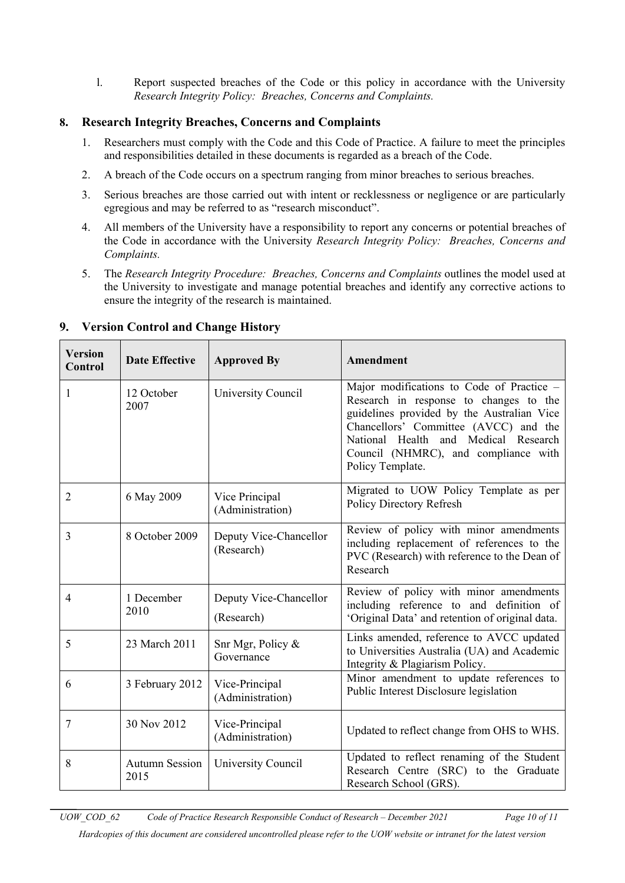l. Report suspected breaches of the Code or this policy in accordance with the University *Research Integrity Policy: Breaches, Concerns and Complaints.*

## <span id="page-9-0"></span>**8. Research Integrity Breaches, Concerns and Complaints**

- 1. Researchers must comply with the Code and this Code of Practice. A failure to meet the principles and responsibilities detailed in these documents is regarded as a breach of the Code.
- 2. A breach of the Code occurs on a spectrum ranging from minor breaches to serious breaches.
- 3. Serious breaches are those carried out with intent or recklessness or negligence or are particularly egregious and may be referred to as "research misconduct".
- 4. All members of the University have a responsibility to report any concerns or potential breaches of the Code in accordance with the University *Research Integrity Policy: Breaches, Concerns and Complaints.*
- 5. The *Research Integrity Procedure: Breaches, Concerns and Complaints* outlines the model used at the University to investigate and manage potential breaches and identify any corrective actions to ensure the integrity of the research is maintained.

| <b>Version</b><br>Control | <b>Date Effective</b>         | <b>Approved By</b>                   | Amendment                                                                                                                                                                                                                                                                         |
|---------------------------|-------------------------------|--------------------------------------|-----------------------------------------------------------------------------------------------------------------------------------------------------------------------------------------------------------------------------------------------------------------------------------|
| 1                         | 12 October<br>2007            | University Council                   | Major modifications to Code of Practice -<br>Research in response to changes to the<br>guidelines provided by the Australian Vice<br>Chancellors' Committee (AVCC) and the<br>National Health<br>and Medical Research<br>Council (NHMRC), and compliance with<br>Policy Template. |
| $\overline{2}$            | 6 May 2009                    | Vice Principal<br>(Administration)   | Migrated to UOW Policy Template as per<br>Policy Directory Refresh                                                                                                                                                                                                                |
| 3                         | 8 October 2009                | Deputy Vice-Chancellor<br>(Research) | Review of policy with minor amendments<br>including replacement of references to the<br>PVC (Research) with reference to the Dean of<br>Research                                                                                                                                  |
| $\overline{4}$            | 1 December<br>2010            | Deputy Vice-Chancellor<br>(Research) | Review of policy with minor amendments<br>including reference to and definition of<br>'Original Data' and retention of original data.                                                                                                                                             |
| 5                         | 23 March 2011                 | Snr Mgr, Policy &<br>Governance      | Links amended, reference to AVCC updated<br>to Universities Australia (UA) and Academic<br>Integrity & Plagiarism Policy.                                                                                                                                                         |
| 6                         | 3 February 2012               | Vice-Principal<br>(Administration)   | Minor amendment to update references to<br>Public Interest Disclosure legislation                                                                                                                                                                                                 |
| 7                         | 30 Nov 2012                   | Vice-Principal<br>(Administration)   | Updated to reflect change from OHS to WHS.                                                                                                                                                                                                                                        |
| 8                         | <b>Autumn Session</b><br>2015 | University Council                   | Updated to reflect renaming of the Student<br>Research Centre (SRC) to the Graduate<br>Research School (GRS).                                                                                                                                                                     |

## <span id="page-9-1"></span>**9. Version Control and Change History**

*Hardcopies of this document are considered uncontrolled please refer to the UOW website or intranet for the latest version*

*UOW\_COD\_62 Code of Practice Research Responsible Conduct of Research – December 2021 Page 10 of 11*